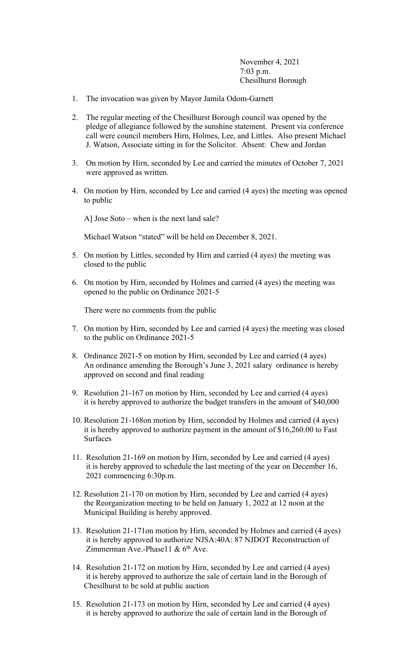November 4, 2021 7:03 p.m. Chesilhurst Borough

- 1. The invocation was given by Mayor Jamila Odom-Garnett
- 2. The regular meeting of the Chesilhurst Borough council was opened by the pledge of allegiance followed by the sunshine statement. Present via conference call were council members Hirn, Holmes, Lee, and Littles. Also present Michael J. Watson, Associate sitting in for the Solicitor. Absent: Chew and Jordan
- 3. On motion by Hirn, seconded by Lee and carried the minutes of October 7, 2021 were approved as written.
- 4. On motion by Hirn, seconded by Lee and carried (4 ayes) the meeting was opened to public

A] Jose Soto – when is the next land sale?

Michael Watson "stated" will be held on December 8, 2021.

- 5. On motion by Littles, seconded by Hirn and carried (4 ayes) the meeting was closed to the public
- 6. On motion by Hirn, seconded by Holmes and carried (4 ayes) the meeting was opened to the public on Ordinance 2021-5

There were no comments from the public

- 7. On motion by Hirn, seconded by Lee and carried (4 ayes) the meeting was closed to the public on Ordinance 2021-5
- 8. Ordinance 2021-5 on motion by Hirn, seconded by Lee and carried (4 ayes) An ordinance amending the Borough's June 3, 2021 salary ordinance is hereby approved on second and final reading
- 9. Resolution 21-167 on motion by Hirn, seconded by Lee and carried (4 ayes) it is hereby approved to authorize the budget transfers in the amount of \$40,000
- 10. Resolution 21-168on motion by Hirn, seconded by Holmes and carried (4 ayes) it is hereby approved to authorize payment in the amount of \$16,260.00 to Fast Surfaces
- 11. Resolution 21-169 on motion by Hirn, seconded by Lee and carried (4 ayes) it is hereby approved to schedule the last meeting of the year on December 16, 2021 commencing 6:30p.m.
- 12. Resolution 21-170 on motion by Hirn, seconded by Lee and carried (4 ayes) the Reorganization meeting to be held on January 1, 2022 at 12 noon at the Municipal Building is hereby approved.
- 13. Resolution 21-171on motion by Hirn, seconded by Holmes and carried (4 ayes) it is hereby approved to authorize NJSA:40A: 87 NJDOT Reconstruction of Zimmerman Ave.-Phase11 &  $6<sup>th</sup>$  Ave.
- 14. Resolution 21-172 on motion by Hirn, seconded by Lee and carried (4 ayes) it is hereby approved to authorize the sale of certain land in the Borough of Chesilhurst to be sold at public auction
- 15. Resolution 21-173 on motion by Hirn, seconded by Lee and carried (4 ayes) it is hereby approved to authorize the sale of certain land in the Borough of